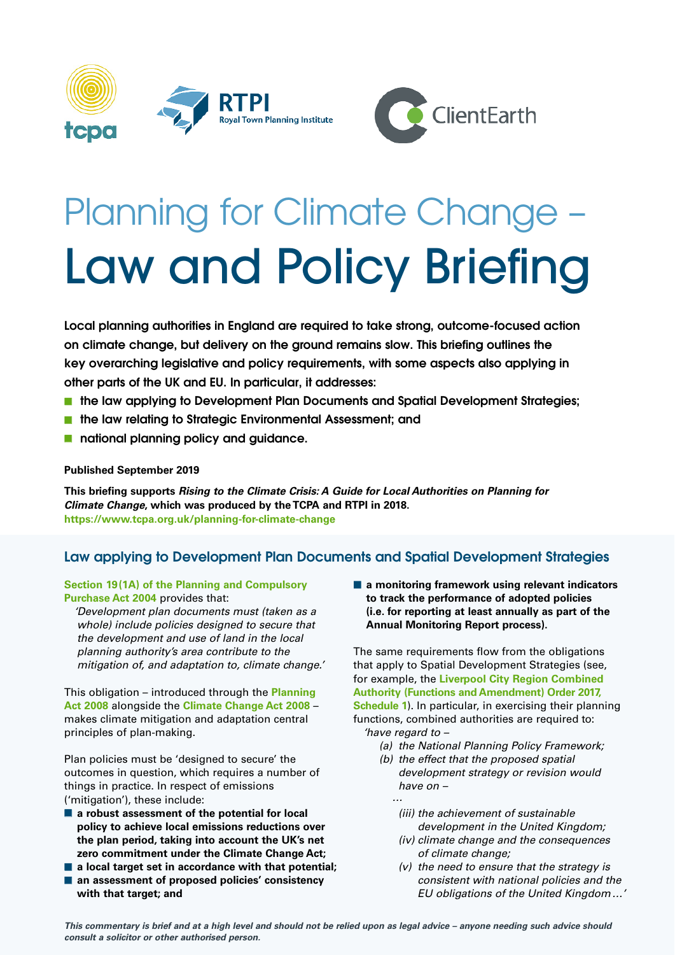



# Planning for Climate Change – Law and Policy Briefing

**Local planning authorities in England are required to take strong, outcome-focused action on climate change, but delivery on the ground remains slow. This briefing outlines the key overarching legislative and policy requirements, with some aspects also applying in other parts of the UK and EU. In particular, it addresses:** 

- the law applying to Development Plan Documents and Spatial Development Strategies;
- **the law relating to Strategic Environmental Assessment; and**
- **national planning policy and guidance.**

#### **Published September 2019**

**This briefing supports Rising to the Climate Crisis: A Guide for Local Authorities on Planning for Climate Change, which was produced by the TCPA and RTPI in 2018. https://www.tcpa.org.uk/planning-for-climate-change**

# **Law applying to Development Plan Documents and Spatial Development Strategies**

**[Section 19\(1A\) of the Planning and Compulsory](http://www.legislation.gov.uk/ukpga/2004/5/section/19) [Purchase Act 2004](http://www.legislation.gov.uk/ukpga/2004/5/section/19)** provides that:

'Development plan documents must (taken as a whole) include policies designed to secure that the development and use of land in the local planning authority's area contribute to the mitigation of, and adaptation to, climate change.'

This obligation – introduced through the **[Planning](https://www.legislation.gov.uk/ukpga/2008/29/contents)  [Act 2008](https://www.legislation.gov.uk/ukpga/2008/29/contents)** alongside the **[Climate Change Act 2008](http://www.legislation.gov.uk/ukpga/2008/27/contents)** – makes climate mitigation and adaptation central principles of plan-making.

Plan policies must be 'designed to secure' the outcomes in question, which requires a number of things in practice. In respect of emissions ('mitigation'), these include:

- **a robust assessment of the potential for local policy to achieve local emissions reductions over the plan period, taking into account the UK's net zero commitment under the Climate Change Act;**
- **a local target set in accordance with that potential;**
- an assessment of proposed policies' consistency **with that target; and**

■ **a monitoring framework using relevant indicators to track the performance of adopted policies (i.e. for reporting at least annually as part of the Annual Monitoring Report process).**

The same requirements flow from the obligations that apply to Spatial Development Strategies (see, for example, the **[Liverpool City Region Combined](https://www.legislation.gov.uk/ukdsi/2017/9780111153949/schedule/1) [Authority \(Functions and Amendment\) Order 2017,](https://www.legislation.gov.uk/ukdsi/2017/9780111153949/schedule/1) [Schedule 1](https://www.legislation.gov.uk/ukdsi/2017/9780111153949/schedule/1)**). In particular, in exercising their planning functions, combined authorities are required to: 'have regard to –

- (a) the National Planning Policy Framework;
- (b) the effect that the proposed spatial development strategy or revision would have on –
	- (iii) the achievement of sustainable development in the United Kingdom;
	- (iv) climate change and the consequences of climate change;
	- $(v)$  the need to ensure that the strategy is consistent with national policies and the EU obligations of the United Kingdom…'

**This commentary is brief and at a high level and should not be relied upon as legal advice – anyone needing such advice should consult a solicitor or other authorised person.**

…